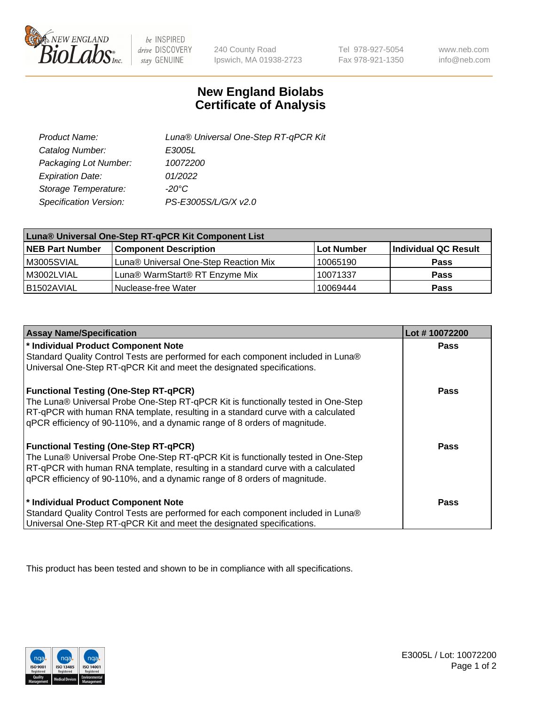

 $be$  INSPIRED drive DISCOVERY stay GENUINE

240 County Road Ipswich, MA 01938-2723

Tel 978-927-5054 Fax 978-921-1350

www.neb.com info@neb.com

## **New England Biolabs Certificate of Analysis**

| Product Name:           | Luna® Universal One-Step RT-qPCR Kit |
|-------------------------|--------------------------------------|
| Catalog Number:         | E3005L                               |
| Packaging Lot Number:   | 10072200                             |
| <b>Expiration Date:</b> | 01/2022                              |
| Storage Temperature:    | $-20^{\circ}$ C                      |
| Specification Version:  | PS-E3005S/L/G/X v2.0                 |

| Luna® Universal One-Step RT-qPCR Kit Component List |                                       |            |                      |  |
|-----------------------------------------------------|---------------------------------------|------------|----------------------|--|
| <b>NEB Part Number</b>                              | <b>Component Description</b>          | Lot Number | Individual QC Result |  |
| M3005SVIAL                                          | Luna® Universal One-Step Reaction Mix | 10065190   | <b>Pass</b>          |  |
| M3002LVIAL                                          | Luna® WarmStart® RT Enzyme Mix        | 10071337   | <b>Pass</b>          |  |
| B1502AVIAL                                          | Nuclease-free Water                   | 10069444   | <b>Pass</b>          |  |

| <b>Assay Name/Specification</b>                                                   | Lot #10072200 |
|-----------------------------------------------------------------------------------|---------------|
| * Individual Product Component Note                                               | <b>Pass</b>   |
| Standard Quality Control Tests are performed for each component included in Luna® |               |
| Universal One-Step RT-qPCR Kit and meet the designated specifications.            |               |
| <b>Functional Testing (One-Step RT-qPCR)</b>                                      | Pass          |
| The Luna® Universal Probe One-Step RT-qPCR Kit is functionally tested in One-Step |               |
| RT-qPCR with human RNA template, resulting in a standard curve with a calculated  |               |
| gPCR efficiency of 90-110%, and a dynamic range of 8 orders of magnitude.         |               |
| <b>Functional Testing (One-Step RT-qPCR)</b>                                      | Pass          |
| The Luna® Universal Probe One-Step RT-qPCR Kit is functionally tested in One-Step |               |
| RT-qPCR with human RNA template, resulting in a standard curve with a calculated  |               |
| qPCR efficiency of 90-110%, and a dynamic range of 8 orders of magnitude.         |               |
| * Individual Product Component Note                                               | <b>Pass</b>   |
| Standard Quality Control Tests are performed for each component included in Luna® |               |
| Universal One-Step RT-qPCR Kit and meet the designated specifications.            |               |

This product has been tested and shown to be in compliance with all specifications.